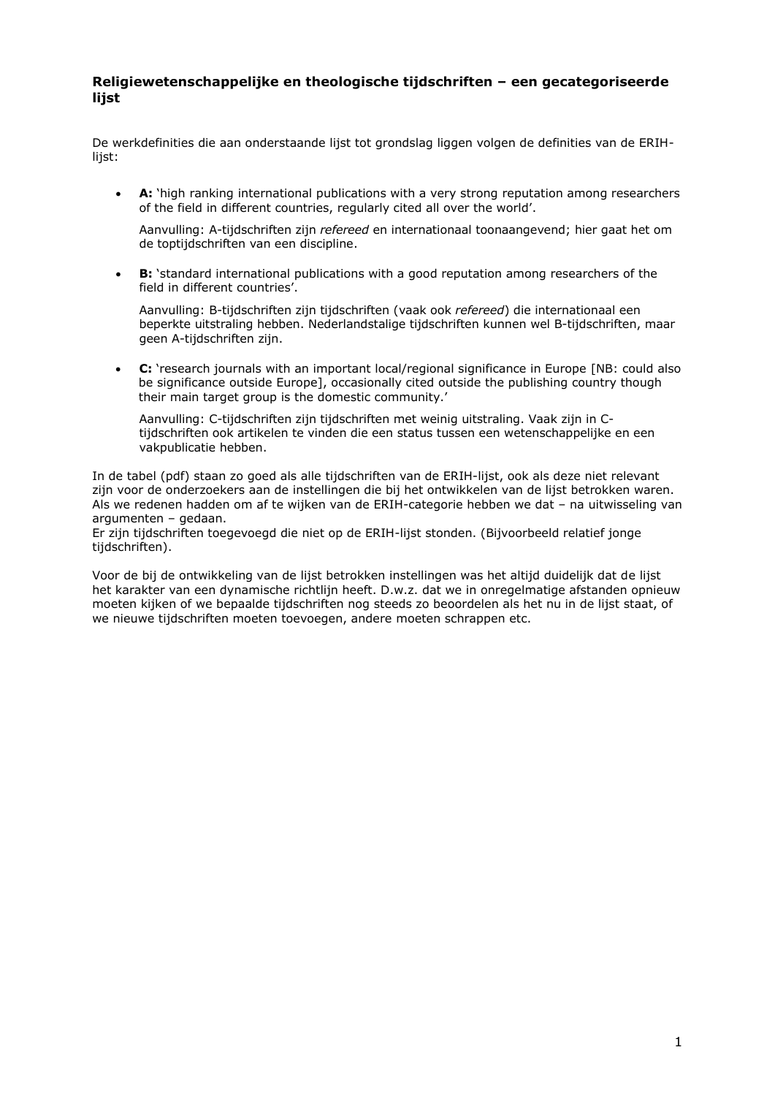## **Religiewetenschappelijke en theologische tijdschriften – een gecategoriseerde lijst**

De werkdefinities die aan onderstaande lijst tot grondslag liggen volgen de definities van de ERIHlijst:

**• A:** 'high ranking international publications with a very strong reputation among researchers of the field in different countries, regularly cited all over the world'.

Aanvulling: A-tijdschriften zijn *refereed* en internationaal toonaangevend; hier gaat het om de toptijdschriften van een discipline.

**B:** 'standard international publications with a good reputation among researchers of the field in different countries'.

Aanvulling: B-tijdschriften zijn tijdschriften (vaak ook *refereed*) die internationaal een beperkte uitstraling hebben. Nederlandstalige tijdschriften kunnen wel B-tijdschriften, maar geen A-tijdschriften zijn.

x **C:** 'research journals with an important local/regional significance in Europe [NB: could also be significance outside Europe], occasionally cited outside the publishing country though their main target group is the domestic community.'

Aanvulling: C-tijdschriften zijn tijdschriften met weinig uitstraling. Vaak zijn in Ctijdschriften ook artikelen te vinden die een status tussen een wetenschappelijke en een vakpublicatie hebben.

In de tabel (pdf) staan zo goed als alle tijdschriften van de ERIH-lijst, ook als deze niet relevant zijn voor de onderzoekers aan de instellingen die bij het ontwikkelen van de lijst betrokken waren. Als we redenen hadden om af te wijken van de ERIH-categorie hebben we dat – na uitwisseling van argumenten – gedaan.

Er zijn tijdschriften toegevoegd die niet op de ERIH-lijst stonden. (Bijvoorbeeld relatief jonge tijdschriften).

Voor de bij de ontwikkeling van de lijst betrokken instellingen was het altijd duidelijk dat de lijst het karakter van een dynamische richtlijn heeft. D.w.z. dat we in onregelmatige afstanden opnieuw moeten kijken of we bepaalde tijdschriften nog steeds zo beoordelen als het nu in de lijst staat, of we nieuwe tijdschriften moeten toevoegen, andere moeten schrappen etc.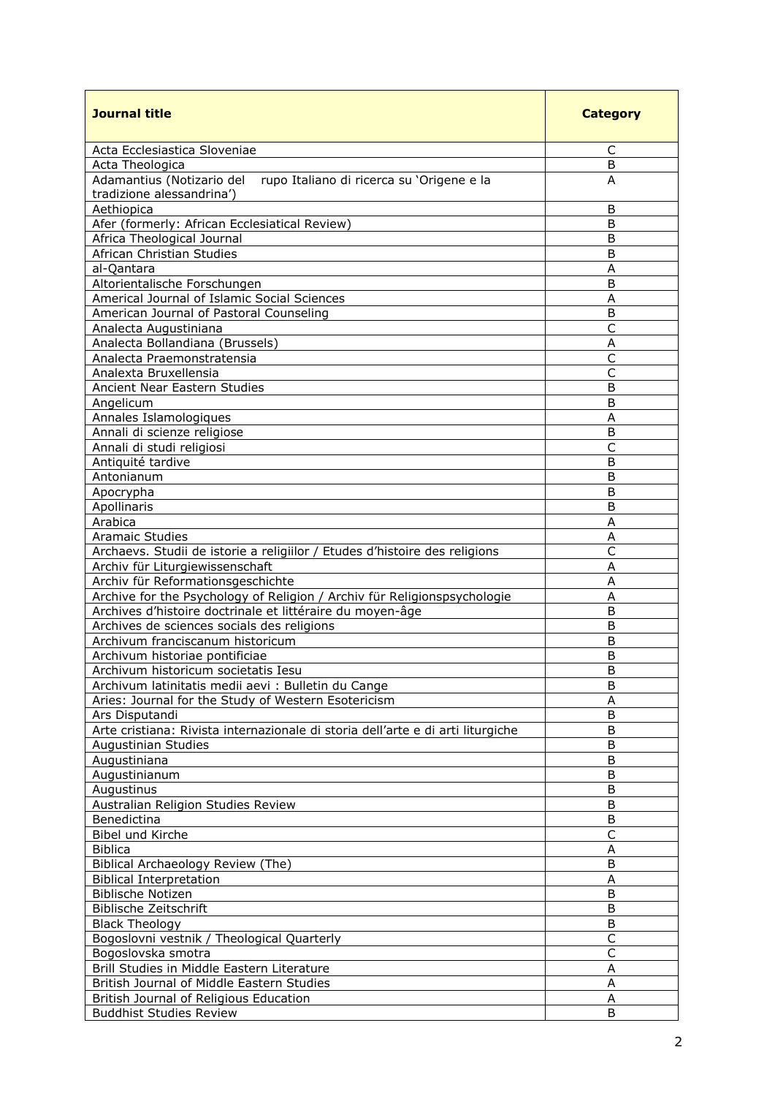| <b>Journal title</b>                                                                                | <b>Category</b> |
|-----------------------------------------------------------------------------------------------------|-----------------|
| Acta Ecclesiastica Sloveniae                                                                        | C               |
| Acta Theologica                                                                                     | B               |
| Adamantius (Notizario del<br>rupo Italiano di ricerca su 'Origene e la<br>tradizione alessandrina') | A               |
| Aethiopica                                                                                          | B               |
| Afer (formerly: African Ecclesiatical Review)                                                       | B               |
| Africa Theological Journal                                                                          | B               |
| African Christian Studies                                                                           | B               |
| al-Qantara                                                                                          | A               |
| Altorientalische Forschungen                                                                        | B               |
| Americal Journal of Islamic Social Sciences                                                         | A               |
| American Journal of Pastoral Counseling                                                             | B               |
| Analecta Augustiniana                                                                               | $\mathsf{C}$    |
| Analecta Bollandiana (Brussels)                                                                     | Α               |
| Analecta Praemonstratensia                                                                          | $\mathsf{C}$    |
| Analexta Bruxellensia                                                                               | C               |
| Ancient Near Eastern Studies                                                                        | B               |
| Angelicum                                                                                           | B               |
| Annales Islamologiques                                                                              | A               |
| Annali di scienze religiose                                                                         | B               |
| Annali di studi religiosi                                                                           | $\mathsf{C}$    |
| Antiquité tardive                                                                                   | B               |
| Antonianum                                                                                          | B               |
| Apocrypha                                                                                           | B               |
| Apollinaris                                                                                         | B               |
| Arabica                                                                                             | A               |
| <b>Aramaic Studies</b>                                                                              | A               |
| Archaevs. Studii de istorie a religiilor / Etudes d'histoire des religions                          | C               |
| Archiv für Liturgiewissenschaft                                                                     | Α               |
| Archiv für Reformationsgeschichte                                                                   | A               |
| Archive for the Psychology of Religion / Archiv für Religionspsychologie                            | Α               |
| Archives d'histoire doctrinale et littéraire du moyen-âge                                           | B               |
| Archives de sciences socials des religions                                                          | B               |
| Archivum franciscanum historicum                                                                    | B               |
| Archivum historiae pontificiae                                                                      | Β               |
| Archivum historicum societatis Iesu                                                                 | B               |
| Archivum latinitatis medii aevi: Bulletin du Cange                                                  | B               |
| Aries: Journal for the Study of Western Esotericism                                                 | A               |
| Ars Disputandi                                                                                      | B               |
| Arte cristiana: Rivista internazionale di storia dell'arte e di arti liturgiche                     | B               |
| Augustinian Studies                                                                                 | B               |
| Augustiniana                                                                                        | B               |
| Augustinianum                                                                                       | B               |
| Augustinus                                                                                          | B               |
| Australian Religion Studies Review                                                                  | B               |
| Benedictina                                                                                         | B               |
| Bibel und Kirche                                                                                    | $\mathsf C$     |
| <b>Biblica</b>                                                                                      | Α               |
| Biblical Archaeology Review (The)                                                                   | B               |
| <b>Biblical Interpretation</b>                                                                      | Α               |
| Biblische Notizen                                                                                   | B               |
| Biblische Zeitschrift                                                                               | B               |
| <b>Black Theology</b>                                                                               | B               |
| Bogoslovni vestnik / Theological Quarterly                                                          | $\mathsf{C}$    |
| Bogoslovska smotra                                                                                  | $\mathsf C$     |
| Brill Studies in Middle Eastern Literature                                                          | A               |
| British Journal of Middle Eastern Studies                                                           | A               |
| British Journal of Religious Education                                                              | Α               |
| <b>Buddhist Studies Review</b>                                                                      | B               |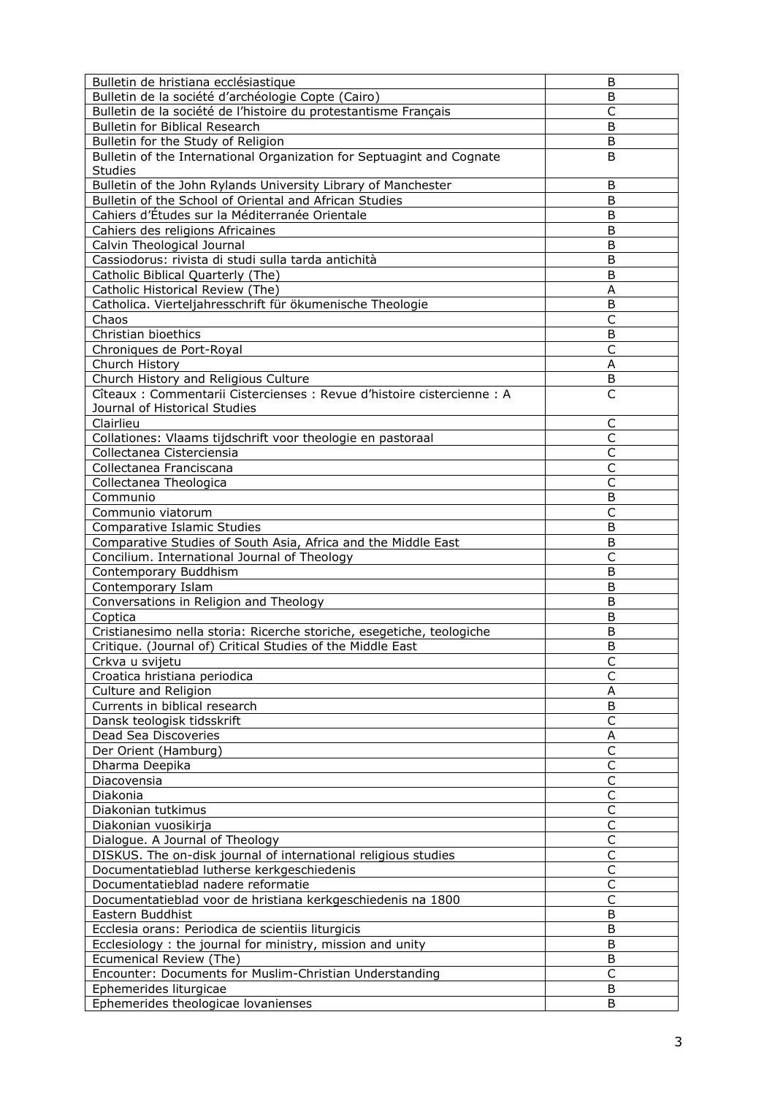| Bulletin de hristiana ecclésiastique                                    | B                       |
|-------------------------------------------------------------------------|-------------------------|
| Bulletin de la société d'archéologie Copte (Cairo)                      | B                       |
| Bulletin de la société de l'histoire du protestantisme Français         | $\overline{C}$          |
| Bulletin for Biblical Research                                          | B                       |
| Bulletin for the Study of Religion                                      | B                       |
|                                                                         |                         |
| Bulletin of the International Organization for Septuagint and Cognate   | B                       |
| <b>Studies</b>                                                          |                         |
| Bulletin of the John Rylands University Library of Manchester           | B                       |
| Bulletin of the School of Oriental and African Studies                  | B                       |
| Cahiers d'Études sur la Méditerranée Orientale                          | B                       |
| Cahiers des religions Africaines                                        | B                       |
| Calvin Theological Journal                                              | B                       |
| Cassiodorus: rivista di studi sulla tarda antichità                     | B                       |
| Catholic Biblical Quarterly (The)                                       | B                       |
| Catholic Historical Review (The)                                        | A                       |
| Catholica. Vierteljahresschrift für ökumenische Theologie               | B                       |
|                                                                         | C                       |
| Chaos                                                                   |                         |
| Christian bioethics                                                     | B                       |
| Chroniques de Port-Royal                                                | С                       |
| Church History                                                          | Α                       |
| Church History and Religious Culture                                    | B                       |
| Cîteaux : Commentarii Cistercienses : Revue d'histoire cistercienne : A | $\overline{\mathsf{C}}$ |
| Journal of Historical Studies                                           |                         |
| Clairlieu                                                               | C                       |
| Collationes: Vlaams tijdschrift voor theologie en pastoraal             | $\mathsf{C}$            |
| Collectanea Cisterciensia                                               | C                       |
| Collectanea Franciscana                                                 | C                       |
| Collectanea Theologica                                                  | $\mathsf{C}$            |
|                                                                         |                         |
| Communio                                                                | B                       |
| Communio viatorum                                                       | $\mathsf{C}$            |
| Comparative Islamic Studies                                             | B                       |
| Comparative Studies of South Asia, Africa and the Middle East           | B                       |
| Concilium. International Journal of Theology                            | $\mathsf{C}$            |
| Contemporary Buddhism                                                   | B                       |
| Contemporary Islam                                                      | B                       |
| Conversations in Religion and Theology                                  | B                       |
| Coptica                                                                 | B                       |
| Cristianesimo nella storia: Ricerche storiche, esegetiche, teologiche   | B                       |
| Critique. (Journal of) Critical Studies of the Middle East              | B                       |
| Crkva u svijetu                                                         |                         |
| Croatica hristiana periodica                                            | Ć<br>$\mathsf{C}$       |
|                                                                         |                         |
| Culture and Religion                                                    | Α                       |
| Currents in biblical research                                           | B                       |
| Dansk teologisk tidsskrift                                              | $\mathsf{C}$            |
| Dead Sea Discoveries                                                    | A                       |
| Der Orient (Hamburg)                                                    | C                       |
| Dharma Deepika                                                          | $\mathsf C$             |
| Diacovensia                                                             | $\mathsf C$             |
| Diakonia                                                                | C                       |
| Diakonian tutkimus                                                      | C                       |
| Diakonian vuosikirja                                                    | $\mathsf C$             |
| Dialogue. A Journal of Theology                                         | $\mathsf{C}$            |
| DISKUS. The on-disk journal of international religious studies          | $\mathsf{C}$            |
| Documentatieblad lutherse kerkgeschiedenis                              | C                       |
|                                                                         | $\overline{\mathsf{C}}$ |
| Documentatieblad nadere reformatie                                      |                         |
| Documentatieblad voor de hristiana kerkgeschiedenis na 1800             | C                       |
| Eastern Buddhist                                                        | B                       |
| Ecclesia orans: Periodica de scientiis liturgicis                       | B                       |
| Ecclesiology: the journal for ministry, mission and unity               | B                       |
| Ecumenical Review (The)                                                 | B                       |
| Encounter: Documents for Muslim-Christian Understanding                 | C                       |
| Ephemerides liturgicae                                                  | B                       |
| Ephemerides theologicae lovanienses                                     | B                       |
|                                                                         |                         |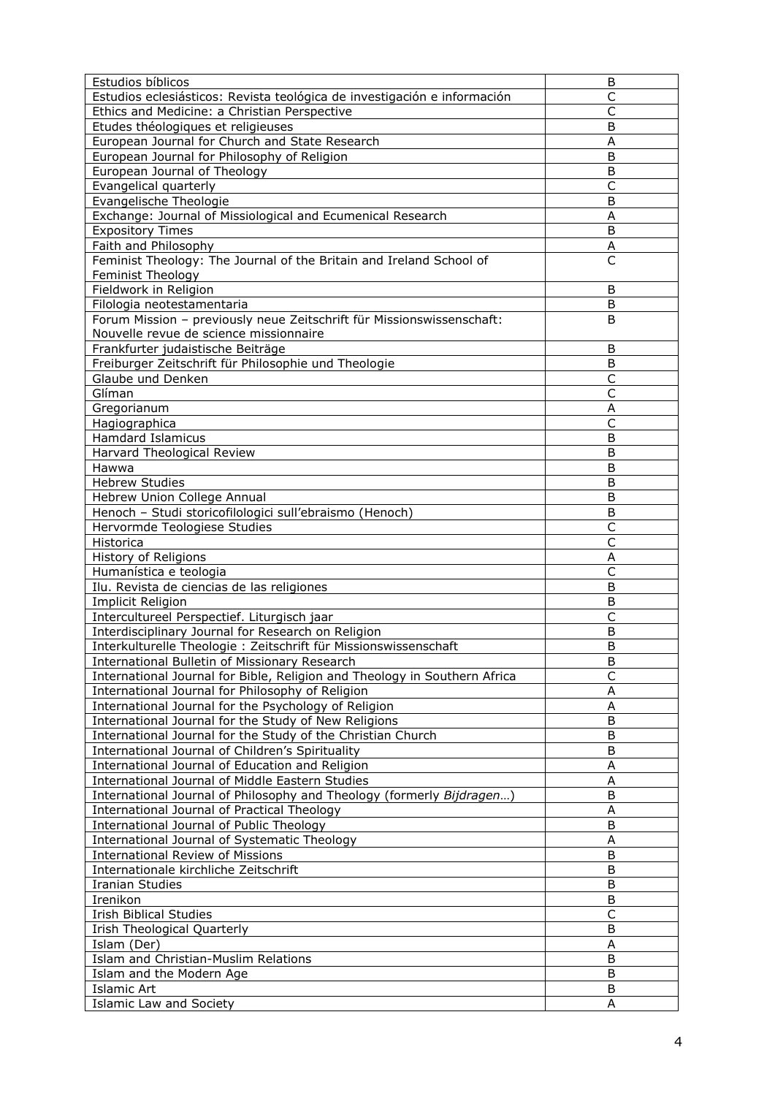| Estudios bíblicos                                                                        | B                       |
|------------------------------------------------------------------------------------------|-------------------------|
| Estudios eclesiásticos: Revista teológica de investigación e información                 | C                       |
| Ethics and Medicine: a Christian Perspective                                             | C                       |
| Etudes théologiques et religieuses                                                       | B                       |
| European Journal for Church and State Research                                           | A                       |
| European Journal for Philosophy of Religion                                              | B                       |
| European Journal of Theology                                                             | B                       |
| Evangelical quarterly                                                                    | $\mathsf{C}$            |
| Evangelische Theologie                                                                   | B                       |
| Exchange: Journal of Missiological and Ecumenical Research                               | Α                       |
| <b>Expository Times</b>                                                                  | B                       |
| Faith and Philosophy                                                                     | A                       |
| Feminist Theology: The Journal of the Britain and Ireland School of                      | $\overline{\mathsf{C}}$ |
| Feminist Theology                                                                        |                         |
| Fieldwork in Religion                                                                    | B                       |
| Filologia neotestamentaria                                                               | B                       |
| Forum Mission - previously neue Zeitschrift für Missionswissenschaft:                    | B                       |
| Nouvelle revue de science missionnaire                                                   |                         |
| Frankfurter judaistische Beiträge                                                        | B                       |
| Freiburger Zeitschrift für Philosophie und Theologie                                     | B                       |
| Glaube und Denken                                                                        | $\mathsf{C}$            |
| Glíman                                                                                   | $\overline{C}$          |
| Gregorianum                                                                              | A                       |
| Hagiographica                                                                            | C                       |
| <b>Hamdard Islamicus</b>                                                                 | B                       |
| Harvard Theological Review                                                               | B                       |
| Hawwa                                                                                    | B                       |
| <b>Hebrew Studies</b>                                                                    | B                       |
| Hebrew Union College Annual                                                              | B                       |
| Henoch - Studi storicofilologici sull'ebraismo (Henoch)                                  | B                       |
| Hervormde Teologiese Studies                                                             | $\mathsf{C}$            |
| Historica                                                                                | C                       |
| History of Religions                                                                     | A                       |
| Humanística e teologia                                                                   | $\mathsf{C}$            |
| Ilu. Revista de ciencias de las religiones                                               | B                       |
| Implicit Religion                                                                        | B                       |
| Intercultureel Perspectief. Liturgisch jaar                                              | C                       |
| Interdisciplinary Journal for Research on Religion                                       | B                       |
| Interkulturelle Theologie: Zeitschrift für Missionswissenschaft                          | B                       |
| International Bulletin of Missionary Research                                            | B                       |
| International Journal for Bible, Religion and Theology in Southern Africa                | $\mathsf{C}$            |
| International Journal for Philosophy of Religion                                         | A                       |
| International Journal for the Psychology of Religion                                     | A                       |
| International Journal for the Study of New Religions                                     | B                       |
| International Journal for the Study of the Christian Church                              | B                       |
| International Journal of Children's Spirituality                                         | B                       |
| International Journal of Education and Religion                                          |                         |
| International Journal of Middle Eastern Studies                                          | Α<br>A                  |
| International Journal of Philosophy and Theology (formerly Bijdragen)                    | B                       |
| International Journal of Practical Theology                                              | A                       |
|                                                                                          | B                       |
| International Journal of Public Theology<br>International Journal of Systematic Theology | A                       |
|                                                                                          |                         |
| <b>International Review of Missions</b>                                                  | B                       |
| Internationale kirchliche Zeitschrift                                                    | B                       |
| Iranian Studies                                                                          | B                       |
| Irenikon                                                                                 | B                       |
| <b>Irish Biblical Studies</b>                                                            | $\mathsf{C}$            |
| Irish Theological Quarterly                                                              | B                       |
| Islam (Der)                                                                              | A                       |
| Islam and Christian-Muslim Relations                                                     | B                       |
| Islam and the Modern Age                                                                 | B                       |
| <b>Islamic Art</b>                                                                       | B                       |
| <b>Islamic Law and Society</b>                                                           | Α                       |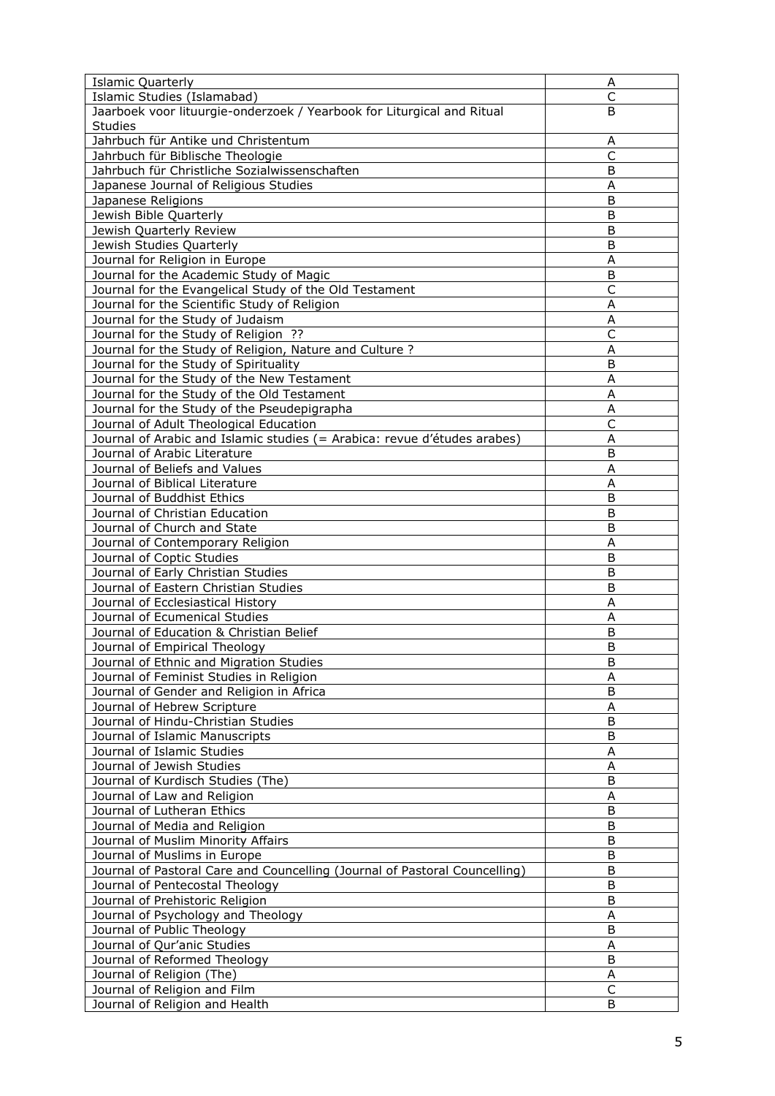| <b>Islamic Quarterly</b>                                                   | Α            |
|----------------------------------------------------------------------------|--------------|
| Islamic Studies (Islamabad)                                                | $\mathsf{C}$ |
| Jaarboek voor lituurgie-onderzoek / Yearbook for Liturgical and Ritual     | B            |
| <b>Studies</b>                                                             |              |
| Jahrbuch für Antike und Christentum                                        | Α            |
| Jahrbuch für Biblische Theologie                                           | $\mathsf{C}$ |
| Jahrbuch für Christliche Sozialwissenschaften                              | B            |
| Japanese Journal of Religious Studies                                      | Α            |
| Japanese Religions                                                         | B            |
| Jewish Bible Quarterly                                                     | B            |
| Jewish Quarterly Review                                                    | B            |
| Jewish Studies Quarterly                                                   | B            |
| Journal for Religion in Europe                                             | A            |
| Journal for the Academic Study of Magic                                    | B            |
| Journal for the Evangelical Study of the Old Testament                     | C            |
| Journal for the Scientific Study of Religion                               | A            |
| Journal for the Study of Judaism                                           |              |
| Journal for the Study of Religion ??                                       | A<br>C       |
|                                                                            |              |
| Journal for the Study of Religion, Nature and Culture ?                    | A            |
| Journal for the Study of Spirituality                                      | B            |
| Journal for the Study of the New Testament                                 | A            |
| Journal for the Study of the Old Testament                                 | A            |
| Journal for the Study of the Pseudepigrapha                                | Α            |
| Journal of Adult Theological Education                                     | $\mathsf{C}$ |
| Journal of Arabic and Islamic studies (= Arabica: revue d'études arabes)   | A            |
| Journal of Arabic Literature                                               | B            |
| Journal of Beliefs and Values                                              | A            |
| Journal of Biblical Literature                                             | Α            |
| Journal of Buddhist Ethics                                                 | B            |
| Journal of Christian Education                                             | B            |
| Journal of Church and State                                                | B            |
| Journal of Contemporary Religion                                           | A            |
| Journal of Coptic Studies                                                  | B            |
| Journal of Early Christian Studies                                         | B            |
| Journal of Eastern Christian Studies                                       | B            |
| Journal of Ecclesiastical History                                          | A            |
| Journal of Ecumenical Studies                                              | A            |
| Journal of Education & Christian Belief                                    | B            |
| Journal of Empirical Theology                                              | B            |
| Journal of Ethnic and Migration Studies                                    | B            |
| Journal of Feminist Studies in Religion                                    | A            |
| Journal of Gender and Religion in Africa                                   | B            |
| Journal of Hebrew Scripture                                                | A            |
| Journal of Hindu-Christian Studies                                         | B            |
| Journal of Islamic Manuscripts                                             | B            |
| Journal of Islamic Studies                                                 | A            |
| Journal of Jewish Studies                                                  | Α            |
| Journal of Kurdisch Studies (The)                                          | B            |
| Journal of Law and Religion                                                |              |
|                                                                            | Α            |
| Journal of Lutheran Ethics                                                 | B            |
| Journal of Media and Religion                                              | B            |
| Journal of Muslim Minority Affairs                                         | B            |
| Journal of Muslims in Europe                                               | B            |
| Journal of Pastoral Care and Councelling (Journal of Pastoral Councelling) | B            |
| Journal of Pentecostal Theology                                            | B            |
| Journal of Prehistoric Religion                                            | B            |
| Journal of Psychology and Theology                                         | A            |
| Journal of Public Theology                                                 | B            |
| Journal of Qur'anic Studies                                                | A            |
| Journal of Reformed Theology                                               | B            |
| Journal of Religion (The)                                                  | A            |
| Journal of Religion and Film                                               | C            |
| Journal of Religion and Health                                             | B            |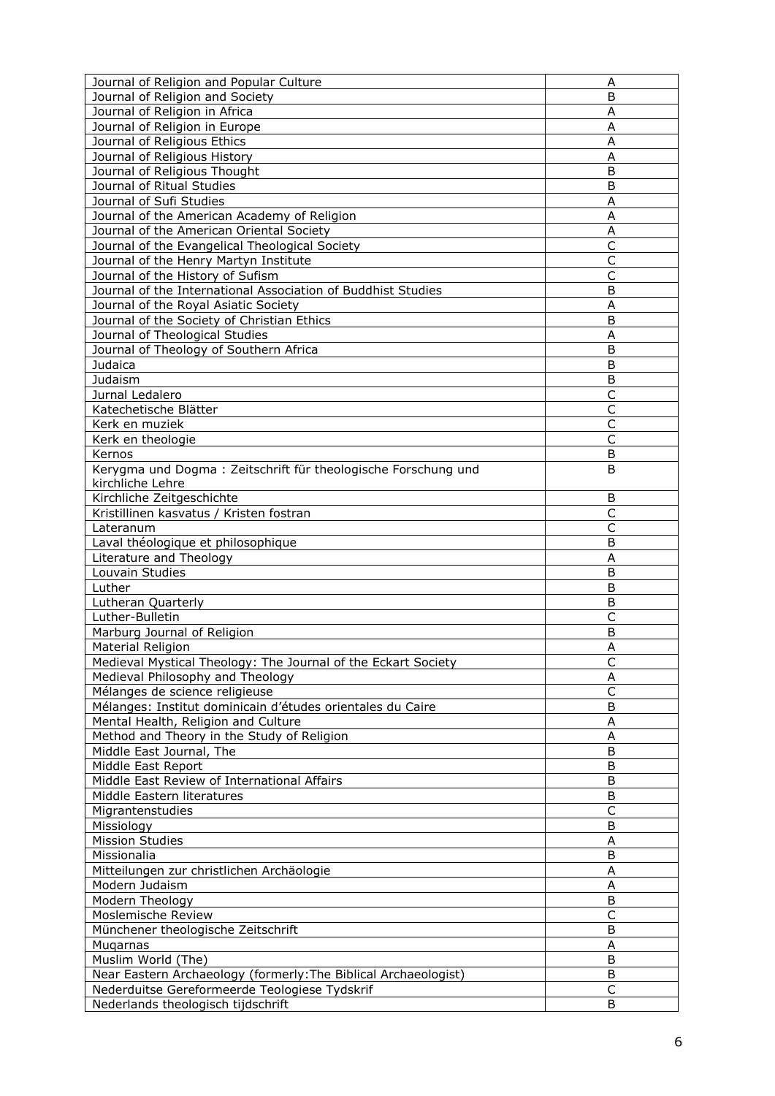| Journal of Religion and Popular Culture                                                           | Α            |
|---------------------------------------------------------------------------------------------------|--------------|
| Journal of Religion and Society                                                                   | B            |
| Journal of Religion in Africa                                                                     | A            |
| Journal of Religion in Europe                                                                     | A            |
| Journal of Religious Ethics                                                                       | Α            |
| Journal of Religious History                                                                      | A            |
| Journal of Religious Thought                                                                      | B            |
| Journal of Ritual Studies                                                                         | Β            |
| Journal of Sufi Studies                                                                           | Α            |
| Journal of the American Academy of Religion                                                       | Α            |
| Journal of the American Oriental Society                                                          | A            |
| Journal of the Evangelical Theological Society                                                    | C            |
| Journal of the Henry Martyn Institute                                                             | C            |
| Journal of the History of Sufism                                                                  | C            |
| Journal of the International Association of Buddhist Studies                                      | B            |
| Journal of the Royal Asiatic Society                                                              | A            |
| Journal of the Society of Christian Ethics                                                        | B            |
| Journal of Theological Studies                                                                    | A            |
| Journal of Theology of Southern Africa                                                            | B            |
| Judaica                                                                                           | B            |
| Judaism                                                                                           | B            |
| Jurnal Ledalero                                                                                   | C            |
| Katechetische Blätter                                                                             | $\mathsf{C}$ |
| Kerk en muziek                                                                                    | C            |
| Kerk en theologie                                                                                 | C            |
| Kernos                                                                                            | B            |
| Kerygma und Dogma: Zeitschrift für theologische Forschung und                                     | B            |
| kirchliche Lehre                                                                                  |              |
| Kirchliche Zeitgeschichte                                                                         | B            |
| Kristillinen kasvatus / Kristen fostran                                                           | C            |
| Lateranum                                                                                         | C            |
| Laval théologique et philosophique                                                                | B            |
| Literature and Theology                                                                           | A            |
| Louvain Studies                                                                                   | B            |
| Luther                                                                                            | B            |
| Lutheran Quarterly                                                                                | B            |
| Luther-Bulletin                                                                                   | C            |
| Marburg Journal of Religion                                                                       | B            |
| Material Religion                                                                                 |              |
|                                                                                                   | Α            |
| Medieval Mystical Theology: The Journal of the Eckart Society<br>Medieval Philosophy and Theology | С            |
| Mélanges de science religieuse                                                                    | Α<br>C       |
|                                                                                                   | B            |
| Mélanges: Institut dominicain d'études orientales du Caire                                        |              |
| Mental Health, Religion and Culture                                                               | A            |
| Method and Theory in the Study of Religion                                                        | A            |
| Middle East Journal, The                                                                          | B            |
| Middle East Report                                                                                | B            |
| Middle East Review of International Affairs                                                       | B            |
| Middle Eastern literatures                                                                        | B            |
| Migrantenstudies                                                                                  | С            |
| Missiology                                                                                        | B            |
| <b>Mission Studies</b>                                                                            | A            |
| Missionalia                                                                                       | B            |
| Mitteilungen zur christlichen Archäologie                                                         | A            |
| Modern Judaism                                                                                    | Α            |
| Modern Theology                                                                                   | В            |
| Moslemische Review                                                                                | C            |
| Münchener theologische Zeitschrift                                                                | B            |
| Mugarnas                                                                                          | Α            |
| Muslim World (The)                                                                                | B            |
| Near Eastern Archaeology (formerly: The Biblical Archaeologist)                                   | В            |
| Nederduitse Gereformeerde Teologiese Tydskrif                                                     | C            |
| Nederlands theologisch tijdschrift                                                                | B            |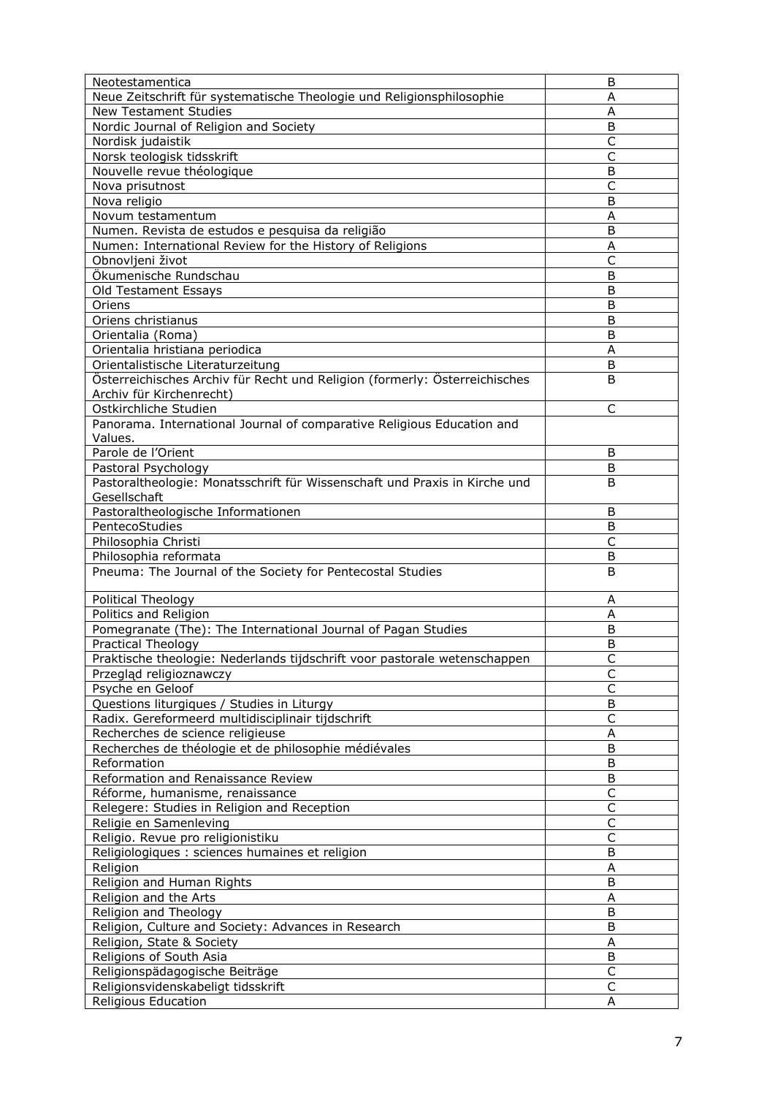| Neotestamentica                                                            | B                       |
|----------------------------------------------------------------------------|-------------------------|
| Neue Zeitschrift für systematische Theologie und Religionsphilosophie      | A                       |
| <b>New Testament Studies</b>                                               | A                       |
| Nordic Journal of Religion and Society                                     | B                       |
| Nordisk judaistik                                                          | $\mathsf{C}$            |
| Norsk teologisk tidsskrift                                                 | C                       |
| Nouvelle revue théologique                                                 | B                       |
| Nova prisutnost                                                            | C                       |
| Nova religio                                                               | B                       |
| Novum testamentum                                                          | Α                       |
| Numen. Revista de estudos e pesquisa da religião                           | B                       |
| Numen: International Review for the History of Religions                   | A                       |
| Obnovljeni život                                                           | $\overline{C}$          |
| Ökumenische Rundschau                                                      | B                       |
| Old Testament Essays                                                       | B                       |
| Oriens                                                                     | B                       |
| Oriens christianus                                                         | B                       |
| Orientalia (Roma)                                                          | B                       |
| Orientalia hristiana periodica                                             | A                       |
| Orientalistische Literaturzeitung                                          | B                       |
| Österreichisches Archiv für Recht und Religion (formerly: Österreichisches | B                       |
| Archiv für Kirchenrecht)                                                   |                         |
| Ostkirchliche Studien                                                      | C                       |
| Panorama. International Journal of comparative Religious Education and     |                         |
| Values.                                                                    |                         |
| Parole de l'Orient                                                         | B                       |
| Pastoral Psychology                                                        | B                       |
| Pastoraltheologie: Monatsschrift für Wissenschaft und Praxis in Kirche und | B                       |
| Gesellschaft                                                               |                         |
| Pastoraltheologische Informationen                                         | B                       |
| PentecoStudies                                                             | B                       |
| Philosophia Christi                                                        | $\overline{\mathsf{C}}$ |
| Philosophia reformata                                                      | B                       |
| Pneuma: The Journal of the Society for Pentecostal Studies                 | B                       |
|                                                                            |                         |
| Political Theology                                                         | A                       |
| Politics and Religion                                                      | A                       |
| Pomegranate (The): The International Journal of Pagan Studies              | B                       |
| Practical Theology                                                         | B                       |
| Praktische theologie: Nederlands tijdschrift voor pastorale wetenschappen  |                         |
| Przegląd religioznawczy                                                    | C                       |
| Psyche en Geloof                                                           | $\mathsf{C}$            |
| Questions liturgiques / Studies in Liturgy                                 | B                       |
| Radix. Gereformeerd multidisciplinair tijdschrift                          | C                       |
| Recherches de science religieuse                                           | Α                       |
| Recherches de théologie et de philosophie médiévales                       | B                       |
| Reformation                                                                | B                       |
| Reformation and Renaissance Review                                         | B                       |
| Réforme, humanisme, renaissance                                            | $\mathsf C$             |
| Relegere: Studies in Religion and Reception                                | $\mathsf C$             |
| Religie en Samenleving                                                     | $\mathsf{C}$            |
| Religio. Revue pro religionistiku                                          | $\mathsf C$             |
| Religiologiques : sciences humaines et religion                            | B                       |
| Religion                                                                   | A                       |
| Religion and Human Rights                                                  | B                       |
| Religion and the Arts                                                      |                         |
|                                                                            | A                       |
| Religion and Theology                                                      | B                       |
| Religion, Culture and Society: Advances in Research                        | B                       |
| Religion, State & Society                                                  | $\sf A$                 |
| Religions of South Asia                                                    | $\sf B$                 |
| Religionspädagogische Beiträge                                             | C<br>$\mathsf{C}$       |
| Religionsvidenskabeligt tidsskrift                                         |                         |
| Religious Education                                                        | Α                       |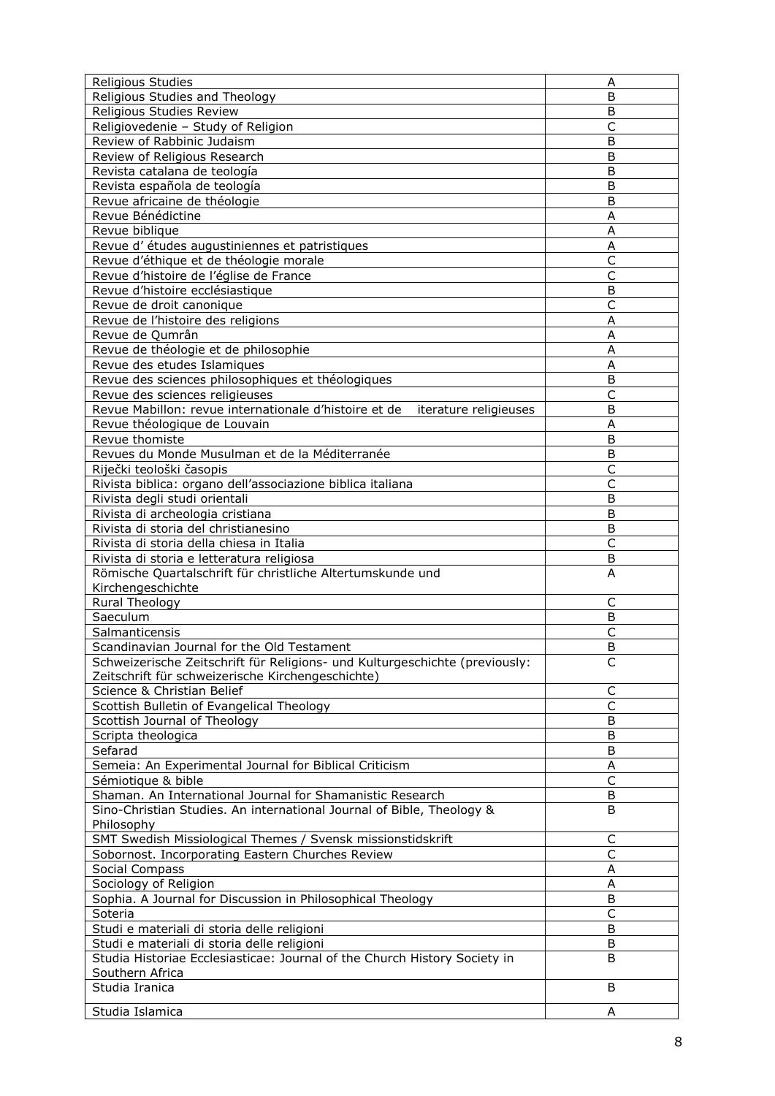| <b>Religious Studies</b>                                                       | Α              |
|--------------------------------------------------------------------------------|----------------|
| Religious Studies and Theology                                                 | B              |
| Religious Studies Review                                                       | B              |
| Religiovedenie - Study of Religion                                             | $\overline{C}$ |
| Review of Rabbinic Judaism                                                     | B              |
| Review of Religious Research                                                   | B              |
| Revista catalana de teología                                                   | B              |
| Revista española de teología                                                   | B              |
| Revue africaine de théologie                                                   | B              |
| Revue Bénédictine                                                              | A              |
| Revue biblique                                                                 | A              |
| Revue d'études augustiniennes et patristiques                                  | A              |
| Revue d'éthique et de théologie morale                                         | C              |
| Revue d'histoire de l'église de France                                         | $\mathsf{C}$   |
| Revue d'histoire ecclésiastique                                                | B              |
| Revue de droit canonique                                                       | C              |
| Revue de l'histoire des religions                                              | A              |
| Revue de Qumrân                                                                | A              |
| Revue de théologie et de philosophie                                           | Α              |
| Revue des etudes Islamiques                                                    | A              |
| Revue des sciences philosophiques et théologiques                              | B              |
| Revue des sciences religieuses                                                 | $\mathsf{C}$   |
| Revue Mabillon: revue internationale d'histoire et de<br>iterature religieuses | B              |
| Revue théologique de Louvain                                                   | Α              |
| Revue thomiste                                                                 | B              |
| Revues du Monde Musulman et de la Méditerranée                                 | B              |
| Riječki teološki časopis                                                       | C              |
| Rivista biblica: organo dell'associazione biblica italiana                     | C              |
| Rivista degli studi orientali                                                  | B              |
| Rivista di archeologia cristiana                                               | B              |
| Rivista di storia del christianesino                                           | B              |
| Rivista di storia della chiesa in Italia                                       | $\mathsf{C}$   |
| Rivista di storia e letteratura religiosa                                      | B              |
| Römische Quartalschrift für christliche Altertumskunde und                     | A              |
| Kirchengeschichte                                                              |                |
|                                                                                |                |
| Rural Theology                                                                 | C              |
| Saeculum                                                                       | B              |
| Salmanticensis                                                                 | C              |
| Scandinavian Journal for the Old Testament                                     | B              |
| Schweizerische Zeitschrift für Religions- und Kulturgeschichte (previously:    | C              |
| Zeitschrift für schweizerische Kirchengeschichte)                              |                |
| Science & Christian Belief                                                     | C              |
| Scottish Bulletin of Evangelical Theology                                      | $\mathsf{C}$   |
| Scottish Journal of Theology                                                   | B              |
| Scripta theologica                                                             | В              |
| Sefarad                                                                        | B              |
| Semeia: An Experimental Journal for Biblical Criticism                         | Α              |
| Sémiotique & bible                                                             | C              |
| Shaman. An International Journal for Shamanistic Research                      | B              |
| Sino-Christian Studies. An international Journal of Bible, Theology &          | B              |
| Philosophy                                                                     |                |
| SMT Swedish Missiological Themes / Svensk missionstidskrift                    | $\mathsf C$    |
| Sobornost. Incorporating Eastern Churches Review                               | C              |
| Social Compass                                                                 | A              |
| Sociology of Religion                                                          | A              |
| Sophia. A Journal for Discussion in Philosophical Theology                     | B              |
| Soteria                                                                        | $\mathsf C$    |
| Studi e materiali di storia delle religioni                                    | B              |
| Studi e materiali di storia delle religioni                                    | B              |
| Studia Historiae Ecclesiasticae: Journal of the Church History Society in      | B              |
| Southern Africa                                                                |                |
| Studia Iranica                                                                 | B              |
| Studia Islamica                                                                | Α              |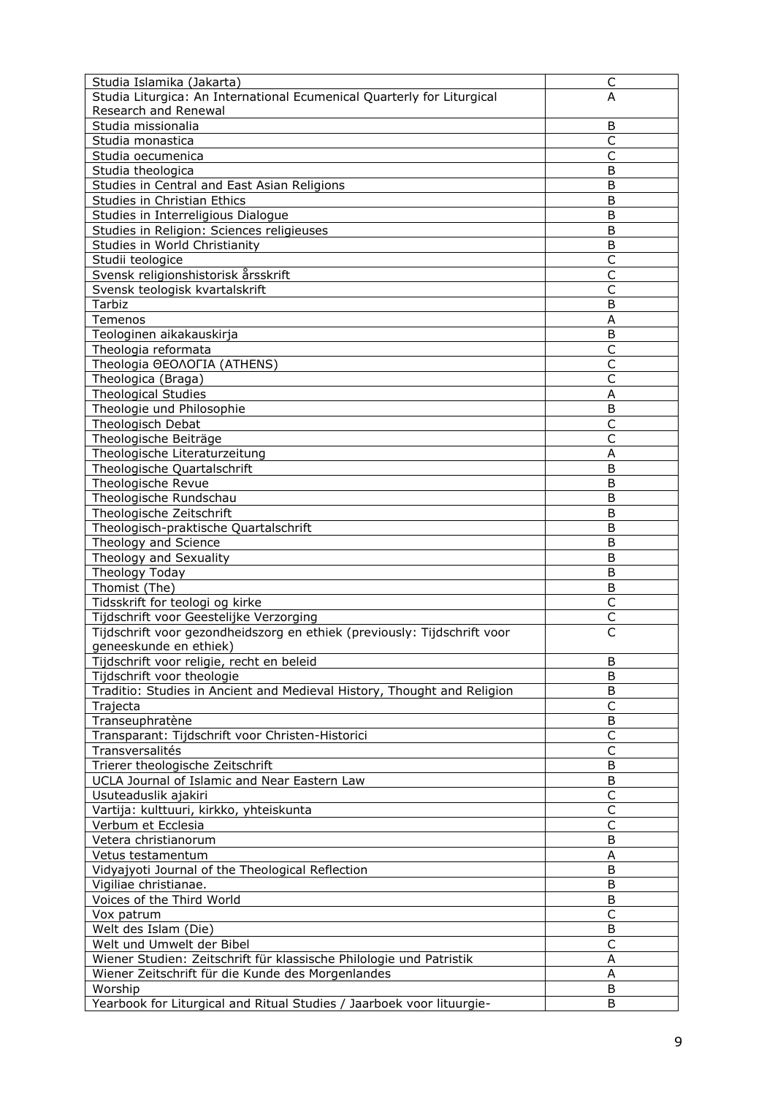| Studia Islamika (Jakarta)                                                | C                       |
|--------------------------------------------------------------------------|-------------------------|
| Studia Liturgica: An International Ecumenical Quarterly for Liturgical   | A                       |
| Research and Renewal                                                     |                         |
| Studia missionalia                                                       | B                       |
| Studia monastica                                                         | $\mathsf C$             |
| Studia oecumenica                                                        | C                       |
| Studia theologica                                                        | B                       |
| Studies in Central and East Asian Religions                              | B                       |
| Studies in Christian Ethics                                              | B                       |
| Studies in Interreligious Dialogue                                       | B                       |
| Studies in Religion: Sciences religieuses                                | B                       |
| Studies in World Christianity                                            | B                       |
| Studii teologice                                                         | $\mathsf{C}$            |
| Svensk religionshistorisk årsskrift                                      | C                       |
| Svensk teologisk kvartalskrift                                           | C                       |
| Tarbiz                                                                   | B                       |
| Temenos                                                                  | A                       |
| Teologinen aikakauskirja                                                 | В                       |
| Theologia reformata                                                      | C                       |
| Theologia OEOAOFIA (ATHENS)                                              |                         |
|                                                                          | C<br>$\mathsf{C}$       |
| Theologica (Braga)                                                       |                         |
| <b>Theological Studies</b>                                               | A                       |
| Theologie und Philosophie                                                | B                       |
| Theologisch Debat                                                        | $\mathsf{C}$            |
| Theologische Beiträge                                                    | C                       |
| Theologische Literaturzeitung                                            | Α                       |
| Theologische Quartalschrift                                              | B                       |
| Theologische Revue                                                       | B                       |
| Theologische Rundschau                                                   | B                       |
| Theologische Zeitschrift                                                 | Β                       |
| Theologisch-praktische Quartalschrift                                    | B                       |
| Theology and Science                                                     | B                       |
| Theology and Sexuality                                                   | B                       |
| Theology Today                                                           | B                       |
| Thomist (The)                                                            | B                       |
| Tidsskrift for teologi og kirke                                          | C                       |
| Tijdschrift voor Geestelijke Verzorging                                  | С                       |
| Tijdschrift voor gezondheidszorg en ethiek (previously: Tijdschrift voor | C                       |
| geneeskunde en ethiek)                                                   |                         |
| <u>Tijdschrift voor religie,</u> recht en beleid                         | ь                       |
| Tijdschrift voor theologie                                               | B                       |
| Traditio: Studies in Ancient and Medieval History, Thought and Religion  | B                       |
| Trajecta                                                                 | $\overline{\mathsf{C}}$ |
| Transeuphratène                                                          | В                       |
| Transparant: Tijdschrift voor Christen-Historici                         | $\mathsf C$             |
| Transversalités                                                          | C                       |
| Trierer theologische Zeitschrift                                         | B                       |
| UCLA Journal of Islamic and Near Eastern Law                             | B                       |
| Usuteaduslik ajakiri                                                     | C                       |
| Vartija: kulttuuri, kirkko, yhteiskunta                                  | C                       |
| Verbum et Ecclesia                                                       | $\mathsf{C}$            |
| Vetera christianorum                                                     | B                       |
| Vetus testamentum                                                        | A                       |
| Vidyajyoti Journal of the Theological Reflection                         | B                       |
| Vigiliae christianae.                                                    | B                       |
| Voices of the Third World                                                | B                       |
| Vox patrum                                                               | $\mathsf C$             |
| Welt des Islam (Die)                                                     | B                       |
| Welt und Umwelt der Bibel                                                | C                       |
| Wiener Studien: Zeitschrift für klassische Philologie und Patristik      | Α                       |
| Wiener Zeitschrift für die Kunde des Morgenlandes                        | Α                       |
| Worship                                                                  | B                       |
| Yearbook for Liturgical and Ritual Studies / Jaarboek voor lituurgie-    | B                       |
|                                                                          |                         |